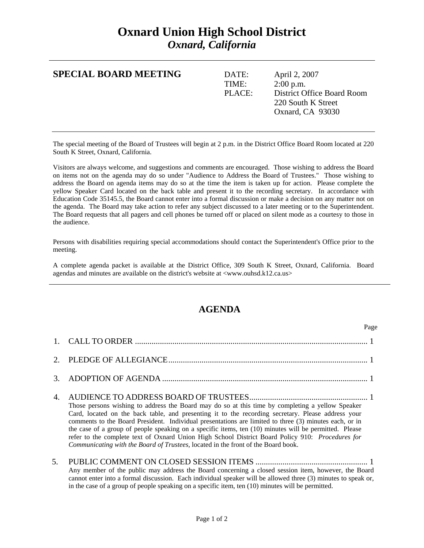## **Oxnard Union High School District**  *Oxnard, California*

| <b>SPECIAL BOARD MEETING</b> | DATE:<br>TIME:<br>PLACE: | April 2, 2007<br>$2:00$ p.m.<br>District Office Board Room<br>220 South K Street |
|------------------------------|--------------------------|----------------------------------------------------------------------------------|
|                              |                          | Oxnard, CA 93030                                                                 |

The special meeting of the Board of Trustees will begin at 2 p.m. in the District Office Board Room located at 220 South K Street, Oxnard, California.

Visitors are always welcome, and suggestions and comments are encouraged. Those wishing to address the Board on items not on the agenda may do so under "Audience to Address the Board of Trustees." Those wishing to address the Board on agenda items may do so at the time the item is taken up for action. Please complete the yellow Speaker Card located on the back table and present it to the recording secretary. In accordance with Education Code 35145.5, the Board cannot enter into a formal discussion or make a decision on any matter not on the agenda. The Board may take action to refer any subject discussed to a later meeting or to the Superintendent. The Board requests that all pagers and cell phones be turned off or placed on silent mode as a courtesy to those in the audience.

Persons with disabilities requiring special accommodations should contact the Superintendent's Office prior to the meeting.

A complete agenda packet is available at the District Office, 309 South K Street, Oxnard, California. Board agendas and minutes are available on the district's website at <www.ouhsd.k12.ca.us>

## **AGENDA**

|             | Page                                                                                                                                                                                                                                                                                                                                                                                                                                                                                                                                                                                                                |
|-------------|---------------------------------------------------------------------------------------------------------------------------------------------------------------------------------------------------------------------------------------------------------------------------------------------------------------------------------------------------------------------------------------------------------------------------------------------------------------------------------------------------------------------------------------------------------------------------------------------------------------------|
|             |                                                                                                                                                                                                                                                                                                                                                                                                                                                                                                                                                                                                                     |
| $2^{\circ}$ |                                                                                                                                                                                                                                                                                                                                                                                                                                                                                                                                                                                                                     |
| 3.          |                                                                                                                                                                                                                                                                                                                                                                                                                                                                                                                                                                                                                     |
| 4.          | Those persons wishing to address the Board may do so at this time by completing a yellow Speaker<br>Card, located on the back table, and presenting it to the recording secretary. Please address your<br>comments to the Board President. Individual presentations are limited to three (3) minutes each, or in<br>the case of a group of people speaking on a specific items, ten (10) minutes will be permitted. Please<br>refer to the complete text of Oxnard Union High School District Board Policy 910: Procedures for<br>Communicating with the Board of Trustees, located in the front of the Board book. |
| 5.          | Any member of the public may address the Board concerning a closed session item, however, the Board<br>$\mathcal{L}$ , and $\mathcal{L}$ and $\mathcal{L}$ and $\mathcal{L}$ and $\mathcal{L}$ and $\mathcal{L}$ and $\mathcal{L}$ and $\mathcal{L}$ and $\mathcal{L}$ and $\mathcal{L}$ and $\mathcal{L}$ and $\mathcal{L}$ and $\mathcal{L}$ and $\mathcal{L}$ and $\mathcal{L}$ and $\mathcal{L}$ and $\mathcal{L}$ an                                                                                                                                                                                           |

cannot enter into a formal discussion. Each individual speaker will be allowed three (3) minutes to speak or, in the case of a group of people speaking on a specific item, ten (10) minutes will be permitted.